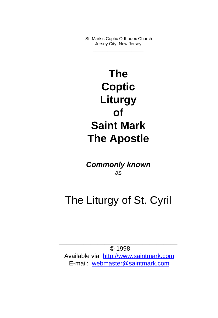St. Mark's Coptic Orthodox Church Jersey City, New Jersey \_\_\_\_\_\_\_\_\_\_\_\_\_\_\_\_\_\_\_\_\_

The Coptic Liturgy of Saint Mark The Apostle

C[om](mailto:webmaster@saintmark.com)[monly known](http://www.saintmark.com) as

### The Liturgy of St. Cyril

\_\_\_\_\_\_\_\_\_\_\_\_\_\_\_\_\_\_\_\_\_\_\_\_\_\_\_\_\_\_\_\_\_\_ © 1998

Available via http://www.saintmark.com E-mail: webmaster@saintmark.com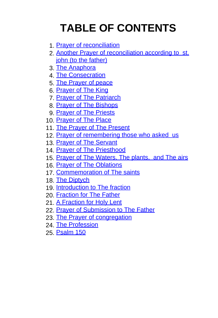## [TABLE OF CO](#page-26-0)NTENTS

- 1. [Prayer of reconciliatio](#page-29-0)[n](#page-28-0)
- 2. [Another Prayer of reconc](#page-30-0)iliation according to st. [john \(to the father\)](#page-32-0)
- 3. [The Anaphora](#page-33-0)
- 4. [The Consecratio](#page-35-0)[n](#page-33-0)
- 5. [The Prayer o](#page-38-0)f pe[ace](#page-35-0)
- 6. [Prayer of The King](#page-39-0)
- 7. [Prayer of The Patriarch](#page-42-0)
- 8. [Prayer of The Bishops](#page-44-0)
- 9. [Prayer of The Priests](#page-47-0)
- 10. [Prayer of The](#page-51-0) Place
- 11. [The Prayer of T](#page-53-0)[he Present](#page-51-0)
- 12. [Prayer of re](#page-56-0)membering those who asked us
- 13. Prayer of The Servant
- 14. Prayer of The Priesthood
- 15. Prayer of The Waters, The plants, and The airs
- 16. Prayer of The Oblations
- 17. Commemoration of The saints
- 18. The Diptych
- 19. Introduction to The fraction
- 20. Fraction for The Father
- 21. A Fraction for Holy Lent
- 22. Prayer of Submission to The Father
- 23. The Prayer of congregation
- 24. The Profession
- 25. Psalm 150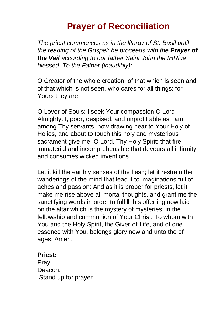#### **Prayer of Reconciliation**

The priest commences as in the liturgy of St. Basil until the reading of the Gospel; he proceeds with the **Prayer of the Veil** according to our father Saint John the tHRice blessed. To the Father (inaudibly):

O Creator of the whole creation, of that which is seen and of that which is not seen, who cares for all things; for Yours they are.

O Lover of Souls; I seek Your compassion O Lord Almighty. I, poor, despised, and unprofit able as I am among Thy servants, now drawing near to Your Holy of Holies, and about to touch this holy and mysterious sacrament give me, O Lord, Thy Holy Spirit: that fire immaterial and incomprehensible that devours all infirmity and consumes wicked inventions.

Let it kill the earthly senses of the flesh; let it restrain the wanderings of the mind that lead it to imaginations full of aches and passion: And as it is proper for priests, let it make me rise above all mortal thoughts, and grant me the sanctifying words in order to fulfill this offer ing now laid on the altar which is the mystery of mysteries; in the fellowship and communion of Your Christ. To whom with You and the Holy Spirit, the Giver-of-Life, and of one essence with You, belongs glory now and unto the of ages, Amen.

#### **Priest:**

Pray Deacon: Stand up for prayer.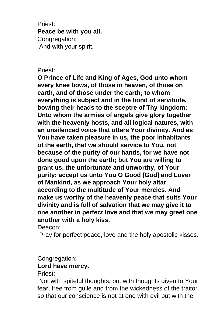Priest: **Peace be with you all.** Congregation: And with your spirit.

#### Priest:

**O Prince of Life and King of Ages, God unto whom every knee bows, of those in heaven, of those on earth, and of those under the earth; to whom everything is subject and in the bond of servitude, bowing their heads to the sceptre of Thy kingdom: Unto whom the armies of angels give glory together with the heavenly hosts, and all logical natures, with an unsilenced voice that utters Your divinity. And as You have taken pleasure in us, the poor inhabitants of the earth, that we should service to You, not because of the purity of our hands, for we have not done good upon the earth; but You are willing to grant us, the unfortunate and unworthy, of Your purity: accept us unto You O Good [God] and Lover of Mankind, as we approach Your holy altar according to the multitude of Your mercies. And make us worthy of the heavenly peace that suits Your divinity and is full of salvation that we may give it to one another in perfect love and that we may greet one another with a holy kiss.**

Deacon:

Pray for perfect peace, love and the holy apostolic kisses.

#### Congregation:

#### **Lord have mercy.**

Priest:

 Not with spiteful thoughts, but with thoughts given to Your fear, free from guile and from the wickedness of the traitor so that our conscience is not at one with evil but with the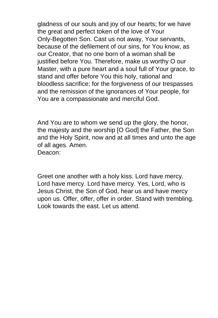gladness of our souls and joy of our hearts; for we have the great and perfect token of the love of Your Only-Begotten Son. Cast us not away, Your servants, because of the defilement of our sins, for You know, as our Creator, that no one born of a woman shall be justified before You. Therefore, make us worthy O our Master, with a pure heart and a soul full of Your grace, to stand and offer before You this holy, rational and bloodless sacrifice; for the forgiveness of our trespasses and the remission of the ignorances of Your people, for You are a compassionate and merciful God.

And You are to whom we send up the glory, the honor, the majesty and the worship [O God] the Father, the Son and the Holy Spirit, now and at all times and unto the age of all ages. Amen. Deacon:

Greet one another with a holy kiss. Lord have mercy. Lord have mercy. Lord have mercy. Yes, Lord, who is Jesus Christ, the Son of God, hear us and have mercy upon us. Offer, offer, offer in order. Stand with trembling. Look towards the east. Let us attend.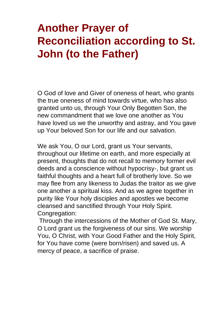## **Another Prayer of Reconciliation according to St. John (to the Father)**

O God of love and Giver of oneness of heart, who grants the true oneness of mind towards virtue, who has also granted unto us, through Your Only Begotten Son, the new commandment that we love one another as You have loved us we the unworthy and astray, and You gave up Your beloved Son for our life and our salvation.

We ask You, O our Lord, grant us Your servants, throughout our lifetime on earth, and more especially at present, thoughts that do not recall to memory former evil deeds and a conscience without hypocrisy-, but grant us faithful thoughts and a heart full of brotherly love. So we may flee from any likeness to Judas the traitor as we give one another a spiritual kiss. And as we agree together in purity like Your holy disciples and apostles we become cleansed and sanctified through Your Holy Spirit. Congregation:

 Through the intercessions of the Mother of God St. Mary, O Lord grant us the forgiveness of our sins. We worship You, O Christ, with Your Good Father and the Holy Spirit, for You have come (were born/risen) and saved us. A mercy of peace, a sacrifice of praise.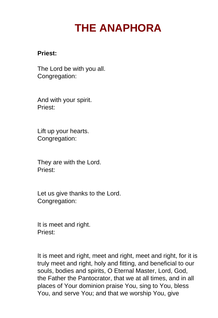## **THE ANAPHORA**

#### **Priest:**

The Lord be with you all. Congregation:

And with your spirit. Priest:

Lift up your hearts. Congregation:

They are with the Lord. Priest:

Let us give thanks to the Lord. Congregation:

It is meet and right. Priest:

It is meet and right, meet and right, meet and right, for it is truly meet and right, holy and fitting, and beneficial to our souls, bodies and spirits, O Eternal Master, Lord, God, the Father the Pantocrator, that we at all times, and in all places of Your dominion praise You, sing to You, bless You, and serve You; and that we worship You, give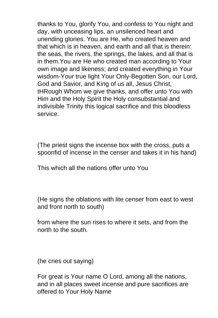thanks to You, glorify You, and confess to You night and day, with unceasing lips, an unsilenced heart and unending glories. You are He, who created heaven and that which is in heaven, and earth and all that is therein: the seas, the rivers, the springs, the lakes, and all that is in them.You are He who created man according to Your own image and likeness; and created everything in Your wisdom-Your true light Your Only-Begotten Son, our Lord, God and Savior, and King of us all, Jesus Christ, tHRough Whom we give thanks, and offer unto You with Him and the Holy Spirit the Holy consubstantial and indivisible Trinity this logical sacrifice and this bloodless service.

(The priest signs the incense box with the cross, puts a spoonfid of incense in the censer and takes it in his hand)

This which all the nations offer unto You

(He signs the oblations with lite censer from east to west and front north to south)

from where the sun rises to where it sets, and from the north to the south.

(he cries out saying)

For great is Your name O Lord, among all the nations, and in all places sweet incense and pure sacrifices are offered to Your Holy Name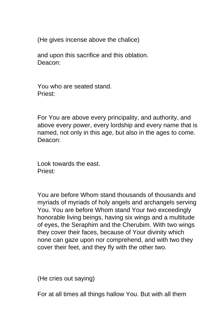(He gives incense above the chalice)

and upon this sacrifice and this oblation. Deacon:

You who are seated stand. Priest:

For You are above every principality, and authority, and above every power, every lordship and every name that is named, not only in this age, but also in the ages to come. Deacon:

Look towards the east. Priest:

You are before Whom stand thousands of thousands and myriads of myriads of holy angels and archangels serving You. You are before Whom stand Your two exceedingly honorable living beings, having six wings and a multitude of eyes, the Seraphim and the Cherubim. With two wings they cover their faces, because of Your divinity which none can gaze upon nor comprehend, and with two they cover their feet, and they fly with the other two.

(He cries out saying)

For at all times all things hallow You. But with all them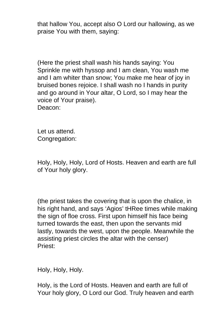that hallow You, accept also O Lord our hallowing, as we praise You with them, saying:

(Here the priest shall wash his hands saying: You Sprinkle me with hyssop and I am clean, You wash me and I am whiter than snow; You make me hear of joy in bruised bones rejoice. I shall wash no I hands in purity and go around in Your altar, O Lord, so I may hear the voice of Your praise). Deacon:

Let us attend. Congregation:

Holy, Holy, Holy, Lord of Hosts. Heaven and earth are full of Your holy glory.

(the priest takes the covering that is upon the chalice, in his right hand, and says 'Agios' tHRee times while making the sign of floe cross. First upon himself his face being turned towards the east, then upon the servants mid lastly, towards the west, upon the people. Meanwhile the assisting priest circles the altar with the censer) Priest:

Holy, Holy, Holy.

Holy, is the Lord of Hosts. Heaven and earth are full of Your holy glory, O Lord our God. Truly heaven and earth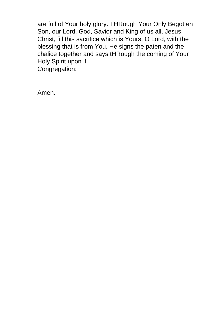are full of Your holy glory. THRough Your Only Begotten Son, our Lord, God, Savior and King of us all, Jesus Christ, fill this sacrifice which is Yours, O Lord, with the blessing that is from You, He signs the paten and the chalice together and says tHRough the coming of Your Holy Spirit upon it. Congregation:

Amen.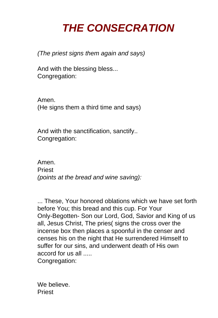### **THE CONSECRATION**

(The priest signs them again and says)

And with the blessing bless... Congregation:

Amen. (He signs them a third time and says)

And with the sanctification, sanctify.. Congregation:

Amen. **Priest** (points at the bread and wine saving):

... These, Your honored oblations which we have set forth before You; this bread and this cup. For Your Only-Begotten- Son our Lord, God, Savior and King of us all, Jesus Christ, The pries( signs the cross over the incense box then places a spoonful in the censer and censes his on the night that He surrendered Himself to suffer for our sins, and underwent death of His own accord for us all ..... Congregation:

We believe. Priest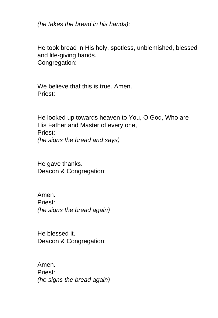(he takes the bread in his hands):

He took bread in His holy, spotless, unblemished, blessed and life-giving hands. Congregation:

We believe that this is true. Amen. Priest:

He looked up towards heaven to You, O God, Who are His Father and Master of every one, Priest: (he signs the bread and says)

He gave thanks. Deacon & Congregation:

Amen. Priest: (he signs the bread again)

He blessed it. Deacon & Congregation:

Amen. Priest: (he signs the bread again)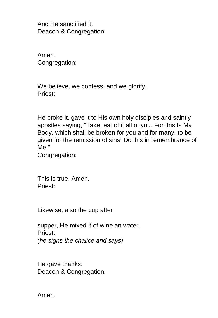And He sanctified it. Deacon & Congregation:

Amen. Congregation:

We believe, we confess, and we glorify. Priest:

He broke it, gave it to His own holy disciples and saintly apostles saying, "Take, eat of it all of you. For this Is My Body, which shall be broken for you and for many, to be given for the remission of sins. Do this in remembrance of Me."

Congregation:

This is true. Amen. Priest:

Likewise, also the cup after

supper, He mixed it of wine an water. Priest: (he signs the chalice and says)

He gave thanks. Deacon & Congregation:

Amen.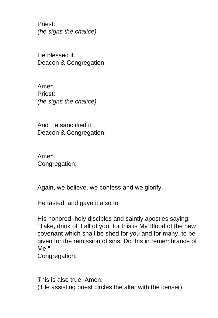Priest: (he signs the chalice)

He blessed it. Deacon & Congregation:

Amen. Priest: (he signs the chalice)

And He sanctified it. Deacon & Congregation:

Amen. Congregation:

Again, we believe, we confess and we glorify.

He tasted, and gave it also to

His honored, holy disciples and saintly apostles saying: "Take, drink of it all of you, for this is My Blood of the new covenant which shall be shed for you and for many, to be given for the remission of sins. Do this in remembrance of Me."

Congregation:

This is also true. Amen. (Tile assisting priest circles the altar with the censer)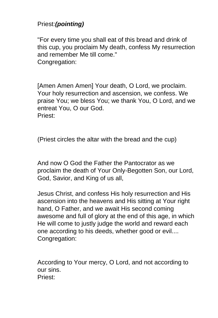#### Priest:**(pointing)**

"For every time you shall eat of this bread and drink of this cup, you proclaim My death, confess My resurrection and remember Me till come." Congregation:

[Amen Amen Amen] Your death, O Lord, we proclaim. Your holy resurrection and ascension, we confess. We praise You; we bless You; we thank You, O Lord, and we entreat You, O our God. Priest:

(Priest circles the altar with the bread and the cup)

And now O God the Father the Pantocrator as we proclaim the death of Your Only-Begotten Son, our Lord, God, Savior, and King of us all,

Jesus Christ, and confess His holy resurrection and His ascension into the heavens and His sitting at Your right hand, O Father, and we await His second coming awesome and full of glory at the end of this age, in which He will come to justly judge the world and reward each one according to his deeds, whether good or evil.... Congregation:

According to Your mercy, O Lord, and not according to our sins. Priest: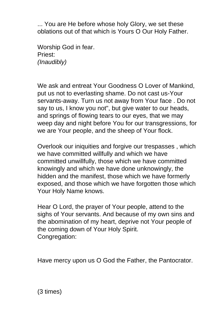... You are He before whose holy Glory, we set these oblations out of that which is Yours O Our Holy Father.

Worship God in fear. Priest: (Inaudibly)

We ask and entreat Your Goodness O Lover of Mankind, put us not to everlasting shame. Do not cast us-Your servants-away. Turn us not away from Your face . Do not say to us, I know you not", but give water to our heads, and springs of flowing tears to our eyes, that we may weep day and night before You for our transgressions, for we are Your people, and the sheep of Your flock.

Overlook our iniquities and forgive our trespasses , which we have committed willfully and which we have committed unwillfully, those which we have committed knowingly and which we have done unknowingly, the hidden and the manifest, those which we have formerly exposed, and those which we have forgotten those which Your Holy Name knows.

Hear O Lord, the prayer of Your people, attend to the sighs of Your servants. And because of my own sins and the abomination of my heart, deprive not Your people of the coming down of Your Holy Spirit. Congregation:

Have mercy upon us O God the Father, the Pantocrator.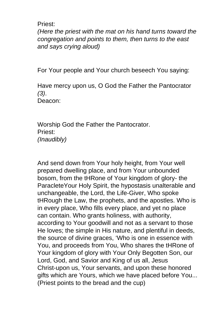Priest:

(Here the priest with the mat on his hand turns toward the congregation and points to them, then turns to the east and says crying aloud)

For Your people and Your church beseech You saying:

Have mercy upon us, O God the Father the Pantocrator (3). Deacon:

Worship God the Father the Pantocrator. Priest: (Inaudibly)

And send down from Your holy height, from Your well prepared dwelling place, and from Your unbounded bosom, from the tHRone of Your kingdom of glory- the ParacleteYour Holy Spirit, the hypostasis unalterable and unchangeable, the Lord, the Life-Giver, Who spoke tHRough the Law, the prophets, and the apostles. Who is in every place, Who fills every place, and yet no place can contain. Who grants holiness, with authority, according to Your goodwill and not as a servant to those He loves; the simple in His nature, and plentiful in deeds, the source of divine graces, 'Who is one in essence with You, and proceeds from You, Who shares the tHRone of Your kingdom of glory with Your Only Begotten Son, our Lord, God, and Savior and King of us all, Jesus Christ-upon us, Your servants, and upon these honored gifts which are Yours, which we have placed before You... (Priest points to the bread and the cup)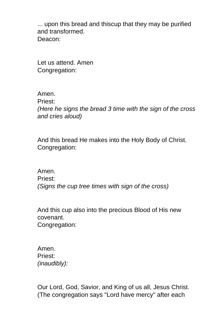... upon this bread and thiscup that they may be purified and transformed. Deacon:

Let us attend. Amen Congregation:

Amen. Priest: (Here he signs the bread 3 time with the sign of the cross and cries aloud)

And this bread He makes into the Holy Body of Christ. Congregation:

Amen. Priest: (Signs the cup tree times with sign of the cross)

And this cup also into the precious Blood of His new covenant. Congregation:

Amen. Priest: (inaudibly):

Our Lord, God, Savior, and King of us all, Jesus Christ. (The congregation says "Lord have mercy" after each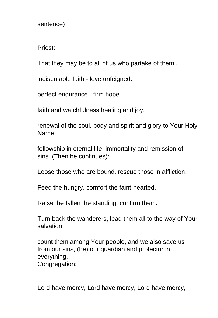sentence)

Priest:

That they may be to all of us who partake of them .

indisputable faith - love unfeigned.

perfect endurance - firm hope.

faith and watchfulness healing and joy.

renewal of the soul, body and spirit and glory to Your Holy Name

fellowship in eternal life, immortality and remission of sins. (Then he confinues):

Loose those who are bound, rescue those in affliction.

Feed the hungry, comfort the faint-hearted.

Raise the fallen the standing, confirm them.

Turn back the wanderers, lead them all to the way of Your salvation,

count them among Your people, and we also save us from our sins, (be) our guardian and protector in everything. Congregation:

Lord have mercy, Lord have mercy, Lord have mercy,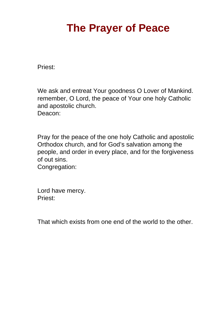## **The Prayer of Peace**

Priest:

We ask and entreat Your goodness O Lover of Mankind. remember, O Lord, the peace of Your one holy Catholic and apostolic church. Deacon:

Pray for the peace of the one holy Catholic and apostolic Orthodox church, and for God's salvation among the people, and order in every place, and for the forgiveness of out sins.

Congregation:

Lord have mercy. Priest:

That which exists from one end of the world to the other.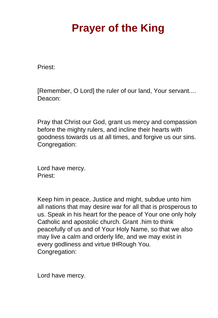# **Prayer of the King**

Priest:

[Remember, O Lord] the ruler of our land, Your servant.... Deacon:

Pray that Christ our God, grant us mercy and compassion before the mighty rulers, and incline their hearts with goodness towards us at all times, and forgive us our sins. Congregation:

Lord have mercy. Priest:

Keep him in peace, Justice and might, subdue unto him all nations that may desire war for all that is prosperous to us. Speak in his heart for the peace of Your one only holy Catholic and apostolic church. Grant .him to think peacefully of us and of Your Holy Name, so that we also may live a calm and orderly life, and we may exist in every godliness and virtue tHRough You. Congregation:

Lord have mercy.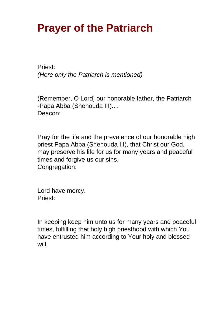### **Prayer of the Patriarch**

Priest: (Here only the Patriarch is mentioned)

(Remember, O Lord] our honorable father, the Patriarch -Papa Abba (Shenouda III).... Deacon:

Pray for the life and the prevalence of our honorable high priest Papa Abba (Shenouda III), that Christ our God, may preserve his life for us for many years and peaceful times and forgive us our sins. Congregation:

Lord have mercy. Priest:

In keeping keep him unto us for many years and peaceful times, fulfilling that holy high priesthood with which You have entrusted him according to Your holy and blessed will.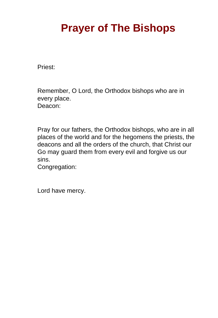# **Prayer of The Bishops**

Priest:

Remember, O Lord, the Orthodox bishops who are in every place. Deacon:

Pray for our fathers, the Orthodox bishops, who are in all places of the world and for the hegomens the priests, the deacons and all the orders of the church, that Christ our Go may guard them from every evil and forgive us our sins.

Congregation:

Lord have mercy.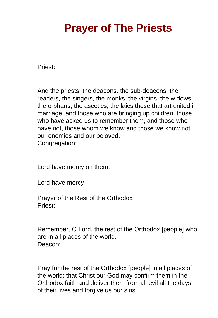### **Prayer of The Priests**

Priest:

And the priests, the deacons. the sub-deacons, the readers, the singers, the monks, the virgins, the widows, the orphans, the ascetics, the laics those that art united in marriage, and those who are bringing up children; those who have asked us to remember them, and those who have not, those whom we know and those we know not, our enemies and our beloved, Congregation:

Lord have mercy on them.

Lord have mercy

Prayer of the Rest of the Orthodox Priest:

Remember, O Lord, the rest of the Orthodox [people] who are in all places of the world. Deacon:

Pray for the rest of the Orthodox [people] in all places of the world; that Christ our God may confirm them in the Orthodox faith and deliver them from all evil all the days of their lives and forgive us our sins.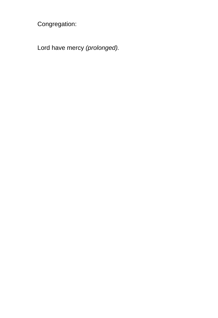Congregation:

Lord have mercy (prolonged).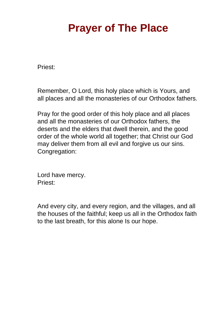### <span id="page-26-0"></span>**Prayer of The Place**

Priest:

Remember, O Lord, this holy place which is Yours, and all places and all the monasteries of our Orthodox fathers.

Pray for the good order of this holy place and all places and all the monasteries of our Orthodox fathers, the deserts and the elders that dwell therein, and the good order of the whole world all together; that Christ our God may deliver them from all evil and forgive us our sins. Congregation:

Lord have mercy. Priest:

And every city, and every region, and the villages, and all the houses of the faithful; keep us all in the Orthodox faith to the last breath, for this alone Is our hope.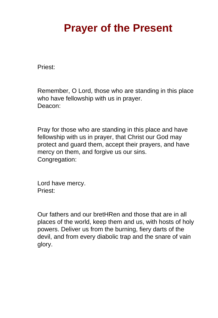### **Prayer of the Present**

Priest:

Remember, O Lord, those who are standing in this place who have fellowship with us in prayer. Deacon:

Pray for those who are standing in this place and have fellowship with us in prayer, that Christ our God may protect and guard them, accept their prayers, and have mercy on them, and forgive us our sins. Congregation:

Lord have mercy. Priest:

Our fathers and our bretHRen and those that are in all places of the world, keep them and us, with hosts of holy powers. Deliver us from the burning, fiery darts of the devil, and from every diabolic trap and the snare of vain glory.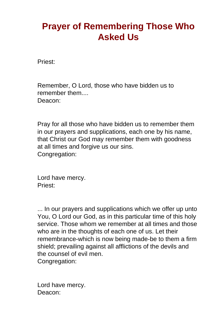#### <span id="page-28-0"></span>**Prayer of Remembering Those Who Asked Us**

Priest:

Remember, O Lord, those who have bidden us to remember them.... Deacon:

Pray for all those who have bidden us to remember them in our prayers and supplications, each one by his name, that Christ our God may remember them with goodness at all times and forgive us our sins. Congregation:

Lord have mercy. Priest:

... In our prayers and supplications which we offer up unto You, O Lord our God, as in this particular time of this holy service. Those whom we remember at all times and those who are in the thoughts of each one of us. Let their remembrance-which is now being made-be to them a firm shield; prevailing against all afflictions of the devils and the counsel of evil men. Congregation:

Lord have mercy. Deacon: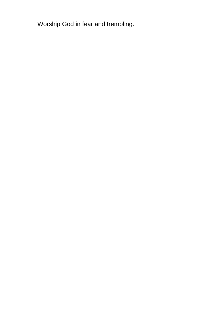<span id="page-29-0"></span>Worship God in fear and trembling.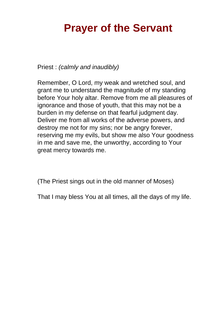#### <span id="page-30-0"></span>**Prayer of the Servant**

Priest : (calmly and inaudibly)

Remember, O Lord, my weak and wretched soul, and grant me to understand the magnitude of my standing before Your holy altar. Remove from me all pleasures of ignorance and those of youth, that this may not be a burden in my defense on that fearful judgment day. Deliver me from all works of the adverse powers, and destroy me not for my sins; nor be angry forever, reserving me my evils, but show me also Your goodness in me and save me, the unworthy, according to Your great mercy towards me.

(The Priest sings out in the old manner of Moses)

That I may bless You at all times, all the days of my life.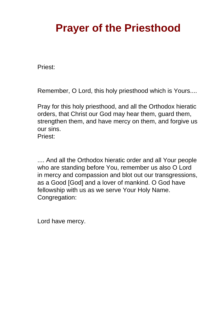# **Prayer of the Priesthood**

Priest:

Remember, O Lord, this holy priesthood which is Yours....

Pray for this holy priesthood, and all the Orthodox hieratic orders, that Christ our God may hear them, guard them, strengthen them, and have mercy on them, and forgive us our sins. Priest:

.... And all the Orthodox hieratic order and all Your people who are standing before You, remember us also O Lord in mercy and compassion and blot out our transgressions, as a Good [God] and a lover of mankind. O God have fellowship with us as we serve Your Holy Name. Congregation:

Lord have mercy.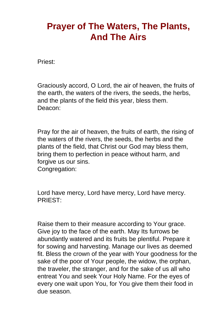#### <span id="page-32-0"></span>**Prayer of The Waters, The Plants, And The Airs**

Priest:

Graciously accord, O Lord, the air of heaven, the fruits of the earth, the waters of the rivers, the seeds, the herbs, and the plants of the field this year, bless them. Deacon:

Pray for the air of heaven, the fruits of earth, the rising of the waters of the rivers, the seeds, the herbs and the plants of the field, that Christ our God may bless them, bring them to perfection in peace without harm, and forgive us our sins.

Congregation:

Lord have mercy, Lord have mercy, Lord have mercy. PRIEST:

Raise them to their measure according to Your grace. Give joy to the face of the earth. May Its furrows be abundantly watered and its fruits be plentiful. Prepare it for sowing and harvesting. Manage our lives as deemed fit. Bless the crown of the year with Your goodness for the sake of the poor of Your people, the widow, the orphan, the traveler, the stranger, and for the sake of us all who entreat You and seek Your Holy Name. For the eyes of every one wait upon You, for You give them their food in due season.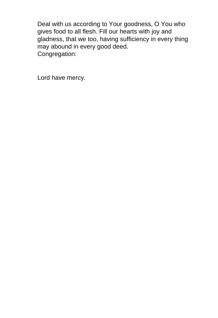<span id="page-33-0"></span>Deal with us according to Your goodness, O You who gives food to all flesh. Fill our hearts with joy and gladness, that we too, having sufficiency in every thing may abound in every good deed. Congregation:

Lord have mercy.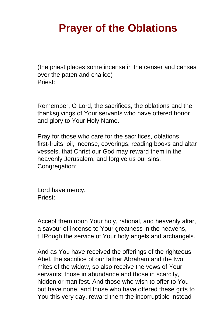## **Prayer of the Oblations**

(the priest places some incense in the censer and censes over the paten and chalice) Priest:

Remember, O Lord, the sacrifices, the oblations and the thanksgivings of Your servants who have offered honor and glory to Your Holy Name.

Pray for those who care for the sacrifices, oblations, first-fruits, oil, incense, coverings, reading books and altar vessels, that Christ our God may reward them in the heavenly Jerusalem, and forgive us our sins. Congregation:

Lord have mercy. Priest:

Accept them upon Your holy, rational, and heavenly altar, a savour of incense to Your greatness in the heavens, tHRough the service of Your holy angels and archangels.

And as You have received the offerings of the righteous Abel, the sacrifice of our father Abraham and the two mites of the widow, so also receive the vows of Your servants; those in abundance and those in scarcity, hidden or manifest. And those who wish to offer to You but have none, and those who have offered these gifts to You this very day, reward them the incorruptible instead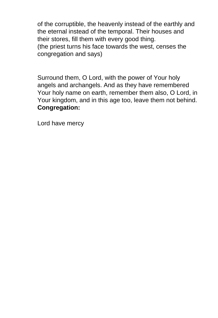<span id="page-35-0"></span>of the corruptible, the heavenly instead of the earthly and the eternal instead of the temporal. Their houses and their stores, fill them with every good thing. (the priest turns his face towards the west, censes the congregation and says)

Surround them, O Lord, with the power of Your holy angels and archangels. And as they have remembered Your holy name on earth, remember them also, O Lord, in Your kingdom, and in this age too, leave them not behind. **Congregation:**

Lord have mercy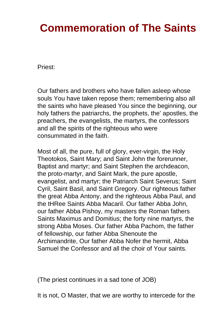# **Commemoration of The Saints**

Priest:

Our fathers and brothers who have fallen asleep whose souls You have taken repose them; remembering also all the saints who have pleased You since the beginning, our holy fathers the patriarchs, the prophets, the' apostles, the preachers, the evangelists, the martyrs, the confessors and all the spirits of the righteous who were consummated in the faith.

Most of all, the pure, full of glory, ever-virgin, the Holy Theotokos, Saint Mary; and Saint John the forerunner, Baptist and martyr; and Saint Stephen the archdeacon, the proto-martyr, and Saint Mark, the pure apostle, evangelist, and martyr; the Patriarch Saint Severus; Saint Cyril, Saint Basil, and Saint Gregory. Our righteous father the great Abba Antony, and the righteous Abba Paul, and the tHRee Saints Abba Macaril. Our father Abba John, our father Abba Pishoy, my masters the Roman fathers Saints Maximus and Domitius; the forty nine martyrs, the strong Abba Moses. Our father Abba Pachom, the father of fellowship, our father Abba Shenoute the Archimandrite, Our father Abba Nofer the hermit, Abba Samuel the Confessor and all the choir of Your saints.

(The priest continues in a sad tone of JOB)

It is not, O Master, that we are worthy to intercede for the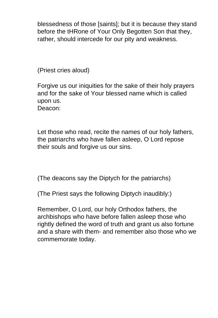blessedness of those [saints]; but it is because they stand before the tHRone of Your Only Begotten Son that they, rather, should intercede for our pity and weakness.

(Priest cries aloud)

Forgive us our iniquities for the sake of their holy prayers and for the sake of Your blessed name which is called upon us. Deacon:

Let those who read, recite the names of our holy fathers, the patriarchs who have fallen asleep, O Lord repose their souls and forgive us our sins.

(The deacons say the Diptych for the patriarchs)

(The Priest says the following Diptych inaudibly:)

Remember, O Lord, our holy Orthodox fathers, the archbishops who have before fallen asleep those who rightly defined the word of truth and grant us also fortune and a share with them- and remember also those who we commemorate today.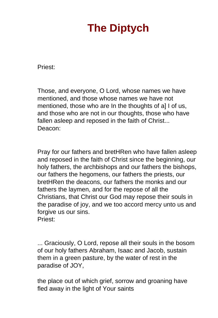# **The Diptych**

<span id="page-38-0"></span>Priest:

Those, and everyone, O Lord, whose names we have mentioned, and those whose names we have not mentioned, those who are In the thoughts of a] I of us, and those who are not in our thoughts, those who have fallen asleep and reposed in the faith of Christ... Deacon:

Pray for our fathers and bretHRen who have fallen asleep and reposed in the faith of Christ since the beginning, our holy fathers, the archbishops and our fathers the bishops, our fathers the hegomens, our fathers the priests, our bretHRen the deacons, our fathers the monks and our fathers the laymen, and for the repose of all the Christians, that Christ our God may repose their souls in the paradise of joy, and we too accord mercy unto us and forgive us our sins. Priest:

... Graciously, O Lord, repose all their souls in the bosom of our holy fathers Abraham, Isaac and Jacob, sustain them in a green pasture, by the water of rest in the paradise of JOY,

the place out of which grief, sorrow and groaning have fled away in the light of Your saints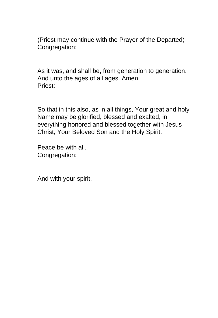<span id="page-39-0"></span>(Priest may continue with the Prayer of the Departed) Congregation:

As it was, and shall be, from generation to generation. And unto the ages of all ages. Amen Priest:

So that in this also, as in all things, Your great and holy Name may be glorified, blessed and exalted, in everything honored and blessed together with Jesus Christ, Your Beloved Son and the Holy Spirit.

Peace be with all. Congregation:

And with your spirit.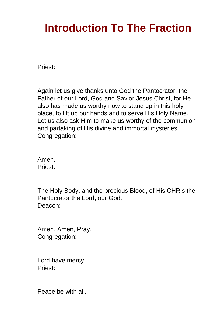# **Introduction To The Fraction**

Priest:

Again let us give thanks unto God the Pantocrator, the Father of our Lord, God and Savior Jesus Christ, for He also has made us worthy now to stand up in this holy place, to lift up our hands and to serve His Holy Name. Let us also ask Him to make us worthy of the communion and partaking of His divine and immortal mysteries. Congregation:

Amen. Priest:

The Holy Body, and the precious Blood, of His CHRis the Pantocrator the Lord, our God. Deacon:

Amen, Amen, Pray. Congregation:

Lord have mercy. Priest:

Peace be with all.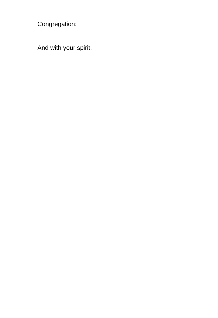Congregation:

And with your spirit.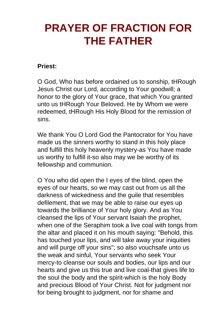# <span id="page-42-0"></span>**PRAYER OF FRACTION FOR THE FATHER**

#### **Priest:**

O God, Who has before ordained us to sonship, tHRough Jesus Christ our Lord, according to Your goodwill; a honor to the glory of Your grace, that which You granted unto us tHRough Your Beloved. He by Whom we were redeemed, tHRough His Holy Blood for the remission of sins.

We thank You O Lord God the Pantocrator for You have made us the sinners worthy to stand in this holy place and fulfill this holy heavenly mystery-as You have made us worthy to fulfill it-so also may we be worthy of its fellowship and communion.

O You who did open the I eyes of the blind, open the eyes of our hearts, so we may cast out from us all the darkness of wickedness and the guile that resembles defilement, that we may be able to raise our eyes up towards the brilliance of Your holy glory. And as You cleansed the lips of Your servant Isaiah the prophet, when one of the Seraphim took a live coal with tongs from the altar and placed it on his mouth saying: "Behold, this has touched your lips, and will take away your iniquities and will purge off your sins"; so also vouchsafe unto us the weak and sinful, Your servants who seek Your mercy-to cleanse our souls and bodies, our lips and our hearts and give us this true and live coal-that gives life to the soul the body and the spirit-which is the holy Body and precious Blood of Your Christ. Not for judgment nor for being brought to judgment, nor for shame and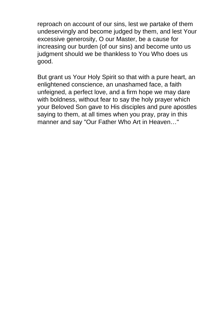reproach on account of our sins, lest we partake of them undeservingly and become judged by them, and lest Your excessive generosity, O our Master, be a cause for increasing our burden (of our sins) and become unto us judgment should we be thankless to You Who does us good.

But grant us Your Holy Spirit so that with a pure heart, an enlightened conscience, an unashamed face, a faith unfeigned, a perfect love, and a firm hope we may dare with boldness, without fear to say the holy prayer which your Beloved Son gave to His disciples and pure apostles saying to them, at all times when you pray, pray in this manner and say "Our Father Who Art in Heaven…"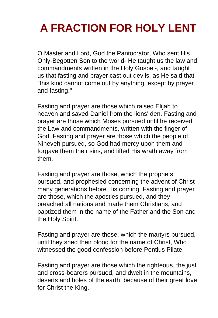# <span id="page-44-0"></span>**A FRACTION FOR HOLY LENT**

O Master and Lord, God the Pantocrator, Who sent His Only-Begotten Son to the world- He taught us the law and commandments written in the Holy Gospel-, and taught us that fasting and prayer cast out devils, as He said that "this kind cannot come out by anything, except by prayer and fasting."

Fasting and prayer are those which raised Elijah to heaven and saved Daniel from the lions' den. Fasting and prayer are those which Moses pursued until he received the Law and commandments, written with the finger of God. Fasting and prayer are those which the people of Nineveh pursued, so God had mercy upon them and forgave them their sins, and lifted His wrath away from them.

Fasting and prayer are those, which the prophets pursued, and prophesied concerning the advent of Christ many generations before His coming. Fasting and prayer are those, which the apostles pursued, and they preached all nations and made them Christians, and baptized them in the name of the Father and the Son and the Holy Spirit.

Fasting and prayer are those, which the martyrs pursued, until they shed their blood for the name of Christ, Who witnessed the good confession before Pontius Pilate.

Fasting and prayer are those which the righteous, the just and cross-bearers pursued, and dwelt in the mountains, deserts and holes of the earth, because of their great love for Christ the King.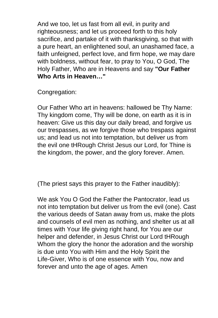And we too, let us fast from all evil, in purity and righteousness; and let us proceed forth to this holy sacrifice, and partake of it with thanksgiving, so that with a pure heart, an enlightened soul, an unashamed face, a faith unfeigned, perfect love, and firm hope, we may dare with boldness, without fear, to pray to You, O God, The Holy Father, Who are in Heavens and say **"Our Father Who Arts in Heaven…"**

Congregation:

Our Father Who art in heavens: hallowed be Thy Name: Thy kingdom come, Thy will be done, on earth as it is in heaven: Give us this day our daily bread, and forgive us our trespasses, as we forgive those who trespass against us; and lead us not into temptation, but deliver us from the evil one tHRough Christ Jesus our Lord, for Thine is the kingdom, the power, and the glory forever. Amen.

(The priest says this prayer to the Father inaudibly):

We ask You O God the Father the Pantocrator, lead us not into temptation but deliver us from the evil (one). Cast the various deeds of Satan away from us, make the plots and counsels of evil men as nothing, and shelter us at all times with Your life giving right hand, for You are our helper and defender, in Jesus Christ our Lord tHRough Whom the glory the honor the adoration and the worship is due unto You with Him and the Holy Spirit the Life-Giver, Who is of one essence with You, now and forever and unto the age of ages. Amen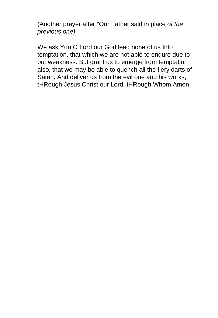(Another prayer after "Our Father said in place of the previous one)

We ask You O Lord our God lead none of us Into temptation, that which we are not able to endure due to out weakness. But grant us to emerge from temptation also, that we may be able to quench all the fiery darts of Satan. And deliver us from the evil one and his works, tHRough Jesus Christ our Lord, tHRough Whom Amen.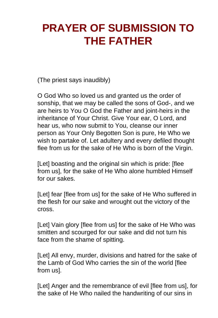# <span id="page-47-0"></span>**PRAYER OF SUBMISSION TO THE FATHER**

(The priest says inaudibly)

O God Who so loved us and granted us the order of sonship, that we may be called the sons of God-, and we are heirs to You O God the Father and joint-heirs in the inheritance of Your Christ. Give Your ear, O Lord, and hear us, who now submit to You, cleanse our inner person as Your Only Begotten Son is pure, He Who we wish to partake of. Let adultery and every defiled thought flee from us for the sake of He Who is born of the Virgin.

[Let] boasting and the original sin which is pride: [flee] from us], for the sake of He Who alone humbled Himself for our sakes.

[Let] fear [flee from us] for the sake of He Who suffered in the flesh for our sake and wrought out the victory of the cross.

[Let] Vain glory [flee from us] for the sake of He Who was smitten and scourged for our sake and did not turn his face from the shame of spitting.

[Let] All envy, murder, divisions and hatred for the sake of the Lamb of God Who carries the sin of the world [flee from us].

[Let] Anger and the remembrance of evil [flee from us], for the sake of He Who nailed the handwriting of our sins in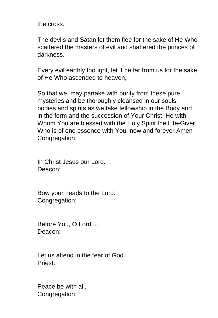the cross.

The devils and Satan let them flee for the sake of He Who scattered the masters of evil and shattered the princes of darkness.

Every evil earthly thought, let it be far from us for the sake of He Who ascended to heaven,

So that we, may partake with purity from these pure mysteries and be thoroughly cleansed in our souls, bodies and spirits as we take fellowship in the Body and in the form and the succession of Your Christ; He with Whom You are blessed with the Holy Spirit the Life-Giver, Who is of one essence with You, now and forever Amen Congregation:

In Christ Jesus our Lord. Deacon:

Bow your heads to the Lord. Congregation:

Before You, O Lord.... Deacon:

Let us attend in the fear of God. Priest:

Peace be with all. Congregation: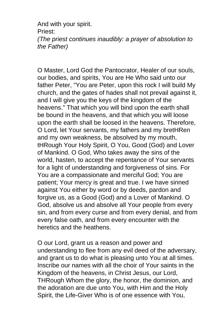And with your spirit. Priest: (The priest continues inaudibly: a prayer of absolution to the Father)

O Master, Lord God the Pantocrator, Healer of our souls, our bodies, and spirits, You are He Who said unto our father Peter, "You are Peter, upon this rock I will build My church, and the gates of hades shall not prevail against it, and I will give you the keys of the kingdom of the heavens." That which you will bind upon the earth shall be bound in the heavens, and that which you will loose upon the earth shall be loosed in the heavens. Therefore, O Lord, let Your servants, my fathers and my bretHRen and my own weakness, be absolved by my mouth, tHRough Your Holy Spirit, O You, Good (God) and Lover of Mankind. O God, Who takes away the sins of the world, hasten, to accept the repentance of Your servants for a light of understanding and forgiveness of sins. For You are a compassionate and merciful God; You are patient; Your mercy is great and true. I we have sinned against You either by word or by deeds, pardon and forgive us, as a Good (God) and a Lover of Mankind. O God, absolve us and absolve all Your people from every sin, and from every curse and from every denial, and from every false oath, and from every encounter with the heretics and the heathens.

O our Lord, grant us a reason and power and understanding to flee from any evil deed of the adversary, and grant us to do what is pleasing unto You at all times. Inscribe our names with all the choir of Your saints in the Kingdom of the heavens, in Christ Jesus, our Lord, THRough Whom the glory, the honor, the dominion, and the adoration are due unto You, with Him and the Holy Spirit, the Life-Giver Who is of one essence with You,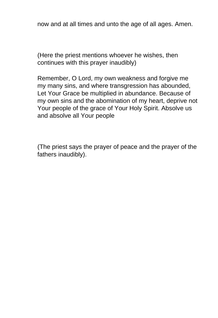now and at all times and unto the age of all ages. Amen.

(Here the priest mentions whoever he wishes, then continues with this prayer inaudibly)

Remember, O Lord, my own weakness and forgive me my many sins, and where transgression has abounded, Let Your Grace be multiplied in abundance. Because of my own sins and the abomination of my heart, deprive not Your people of the grace of Your Holy Spirit. Absolve us and absolve all Your people

(The priest says the prayer of peace and the prayer of the fathers inaudibly).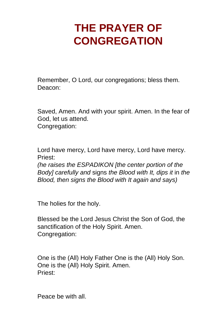# <span id="page-51-0"></span>**THE PRAYER OF CONGREGATION**

Remember, O Lord, our congregations; bless them. Deacon:

Saved, Amen. And with your spirit. Amen. In the fear of God, let us attend. Congregation:

Lord have mercy, Lord have mercy, Lord have mercy. Priest:

(he raises the ESPADIKON [the center portion of the Body] carefully and signs the Blood with It, dips it in the Blood, then signs the Blood with It again and says)

The holies for the holy.

Blessed be the Lord Jesus Christ the Son of God, the sanctification of the Holy Spirit. Amen. Congregation:

One is the (All) Holy Father One is the (All) Holy Son. One is the (All) Holy Spirit. Amen. Priest:

Peace be with all.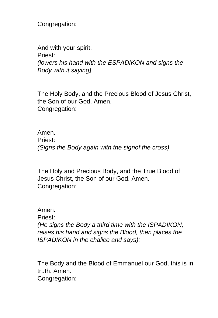Congregation:

And with your spirit. Priest: (lowers his hand with the ESPADIKON and signs the Body with it saying)

The Holy Body, and the Precious Blood of Jesus Christ, the Son of our God. Amen. Congregation:

Amen. Priest: (Signs the Body again with the signof the cross)

The Holy and Precious Body, and the True Blood of Jesus Christ, the Son of our God. Amen. Congregation:

Amen. Priest: (He signs the Body a third time with the ISPADIKON, raises his hand and signs the Blood, then places the ISPADIKON in the chalice and says):

The Body and the Blood of Emmanuel our God, this is in truth. Amen.

Congregation: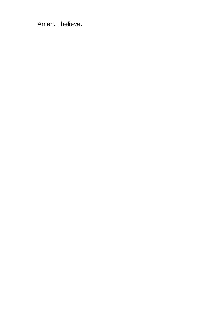<span id="page-53-0"></span>Amen. I believe.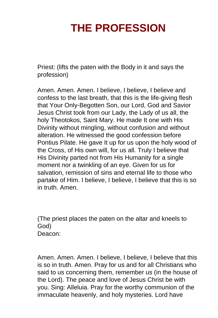# **THE PROFESSION**

Priest: (lifts the paten with the Body in it and says the profession)

Amen. Amen. Amen. I believe, I believe, I believe and confess to the last breath, that this is the life-giving flesh that Your Only-Begotten Son, our Lord, God and Savior Jesus Christ took from our Lady, the Lady of us all, the holy Theotokos, Saint Mary. He made It one with His Divinity without mingling, without confusion and without alteration. He witnessed the good confession before Pontius Pilate. He gave It up for us upon the holy wood of the Cross, of His own will, for us all. Truly I believe that His Divinity parted not from His Humanity for a single moment nor a twinkling of an eye. Given for us for salvation, remission of sins and eternal life to those who partake of Him. I believe, I believe, I believe that this is so in truth. Amen.

(The priest places the paten on the altar and kneels to God) Deacon:

Amen. Amen. Amen. I believe, I believe, I believe that this is so in truth. Amen. Pray for us and for all Christians who said to us concerning them, remember us (in the house of the Lord). The peace and love of Jesus Christ be with you. Sing: Alleluia. Pray for the worthy communion of the immaculate heavenly, and holy mysteries. Lord have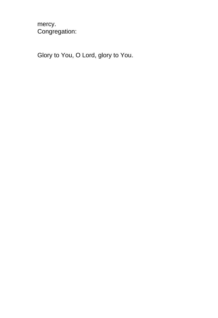mercy. Congregation:

Glory to You, O Lord, glory to You.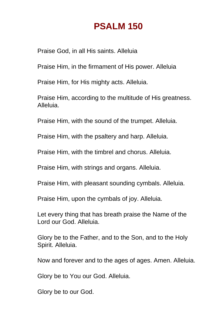#### **PSALM 150**

<span id="page-56-0"></span>Praise God, in all His saints. Alleluia

Praise Him, in the firmament of His power. Alleluia

Praise Him, for His mighty acts. Alleluia.

Praise Him, according to the multitude of His greatness. Alleluia.

Praise Him, with the sound of the trumpet. Alleluia.

Praise Him, with the psaltery and harp. Alleluia.

Praise Him, with the timbrel and chorus. Alleluia.

Praise Him, with strings and organs. Alleluia.

Praise Him, with pleasant sounding cymbals. Alleluia.

Praise Him, upon the cymbals of joy. Alleluia.

Let every thing that has breath praise the Name of the Lord our God. Alleluia.

Glory be to the Father, and to the Son, and to the Holy Spirit. Alleluia.

Now and forever and to the ages of ages. Amen. Alleluia.

Glory be to You our God. Alleluia.

Glory be to our God.